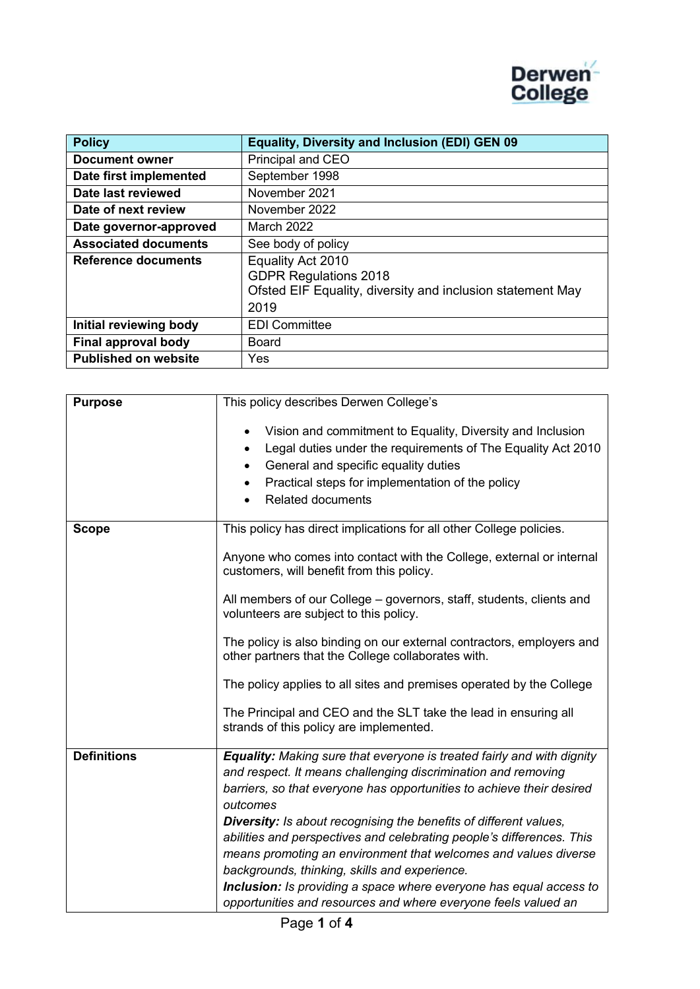

| <b>Policy</b>               | <b>Equality, Diversity and Inclusion (EDI) GEN 09</b>      |
|-----------------------------|------------------------------------------------------------|
| <b>Document owner</b>       | Principal and CEO                                          |
| Date first implemented      | September 1998                                             |
| Date last reviewed          | November 2021                                              |
| Date of next review         | November 2022                                              |
| Date governor-approved      | March 2022                                                 |
| <b>Associated documents</b> | See body of policy                                         |
| <b>Reference documents</b>  | Equality Act 2010<br><b>GDPR Regulations 2018</b>          |
|                             | Ofsted EIF Equality, diversity and inclusion statement May |
|                             | 2019                                                       |
| Initial reviewing body      | <b>EDI Committee</b>                                       |
| Final approval body         | Board                                                      |
| <b>Published on website</b> | Yes                                                        |

| <b>Purpose</b>     | This policy describes Derwen College's                                                                                                                                                                                                                                                                                                                                                                                                                                                                                                                                                                                                        |
|--------------------|-----------------------------------------------------------------------------------------------------------------------------------------------------------------------------------------------------------------------------------------------------------------------------------------------------------------------------------------------------------------------------------------------------------------------------------------------------------------------------------------------------------------------------------------------------------------------------------------------------------------------------------------------|
|                    | Vision and commitment to Equality, Diversity and Inclusion<br>$\bullet$<br>Legal duties under the requirements of The Equality Act 2010<br>$\bullet$<br>General and specific equality duties<br>$\bullet$<br>Practical steps for implementation of the policy<br>٠<br><b>Related documents</b>                                                                                                                                                                                                                                                                                                                                                |
| <b>Scope</b>       | This policy has direct implications for all other College policies.                                                                                                                                                                                                                                                                                                                                                                                                                                                                                                                                                                           |
|                    | Anyone who comes into contact with the College, external or internal<br>customers, will benefit from this policy.                                                                                                                                                                                                                                                                                                                                                                                                                                                                                                                             |
|                    | All members of our College – governors, staff, students, clients and<br>volunteers are subject to this policy.                                                                                                                                                                                                                                                                                                                                                                                                                                                                                                                                |
|                    | The policy is also binding on our external contractors, employers and<br>other partners that the College collaborates with.                                                                                                                                                                                                                                                                                                                                                                                                                                                                                                                   |
|                    | The policy applies to all sites and premises operated by the College                                                                                                                                                                                                                                                                                                                                                                                                                                                                                                                                                                          |
|                    | The Principal and CEO and the SLT take the lead in ensuring all<br>strands of this policy are implemented.                                                                                                                                                                                                                                                                                                                                                                                                                                                                                                                                    |
| <b>Definitions</b> | <b>Equality:</b> Making sure that everyone is treated fairly and with dignity<br>and respect. It means challenging discrimination and removing<br>barriers, so that everyone has opportunities to achieve their desired<br>outcomes<br>Diversity: Is about recognising the benefits of different values,<br>abilities and perspectives and celebrating people's differences. This<br>means promoting an environment that welcomes and values diverse<br>backgrounds, thinking, skills and experience.<br>Inclusion: Is providing a space where everyone has equal access to<br>opportunities and resources and where everyone feels valued an |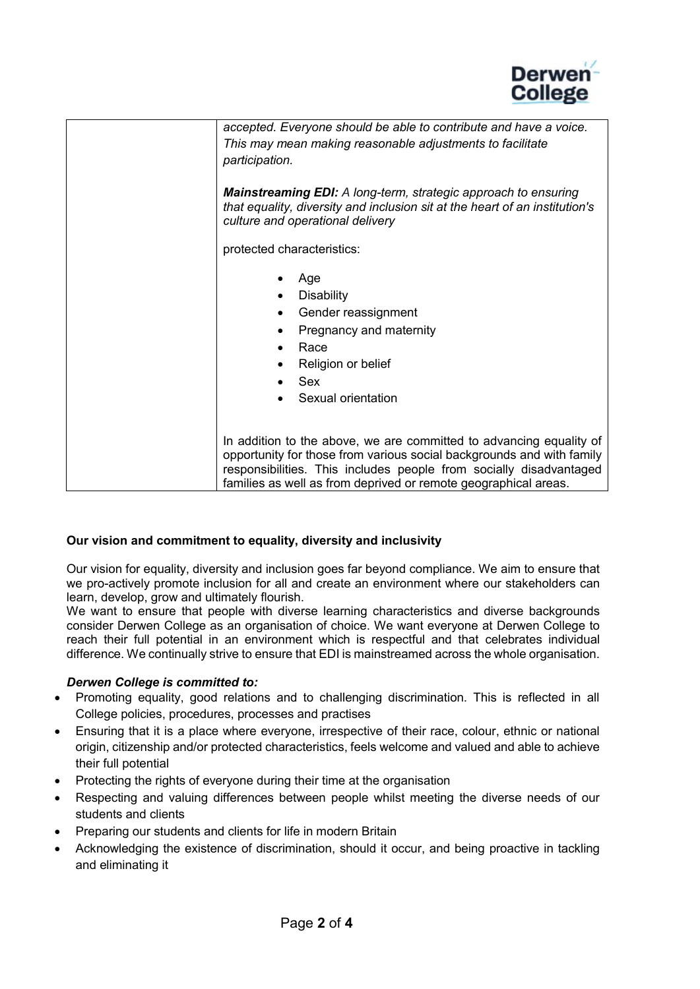

| accepted. Everyone should be able to contribute and have a voice.<br>This may mean making reasonable adjustments to facilitate<br>participation.                                                                                                                                      |
|---------------------------------------------------------------------------------------------------------------------------------------------------------------------------------------------------------------------------------------------------------------------------------------|
| <b>Mainstreaming EDI:</b> A long-term, strategic approach to ensuring<br>that equality, diversity and inclusion sit at the heart of an institution's<br>culture and operational delivery                                                                                              |
| protected characteristics:                                                                                                                                                                                                                                                            |
| Age<br><b>Disability</b><br>Gender reassignment<br>Pregnancy and maternity<br>٠<br>Race<br>Religion or belief<br>Sex<br>Sexual orientation                                                                                                                                            |
| In addition to the above, we are committed to advancing equality of<br>opportunity for those from various social backgrounds and with family<br>responsibilities. This includes people from socially disadvantaged<br>families as well as from deprived or remote geographical areas. |

### **Our vision and commitment to equality, diversity and inclusivity**

Our vision for equality, diversity and inclusion goes far beyond compliance. We aim to ensure that we pro-actively promote inclusion for all and create an environment where our stakeholders can learn, develop, grow and ultimately flourish.

We want to ensure that people with diverse learning characteristics and diverse backgrounds consider Derwen College as an organisation of choice. We want everyone at Derwen College to reach their full potential in an environment which is respectful and that celebrates individual difference. We continually strive to ensure that EDI is mainstreamed across the whole organisation.

### *Derwen College is committed to:*

- Promoting equality, good relations and to challenging discrimination. This is reflected in all College policies, procedures, processes and practises
- Ensuring that it is a place where everyone, irrespective of their race, colour, ethnic or national origin, citizenship and/or protected characteristics, feels welcome and valued and able to achieve their full potential
- Protecting the rights of everyone during their time at the organisation
- Respecting and valuing differences between people whilst meeting the diverse needs of our students and clients
- Preparing our students and clients for life in modern Britain
- Acknowledging the existence of discrimination, should it occur, and being proactive in tackling and eliminating it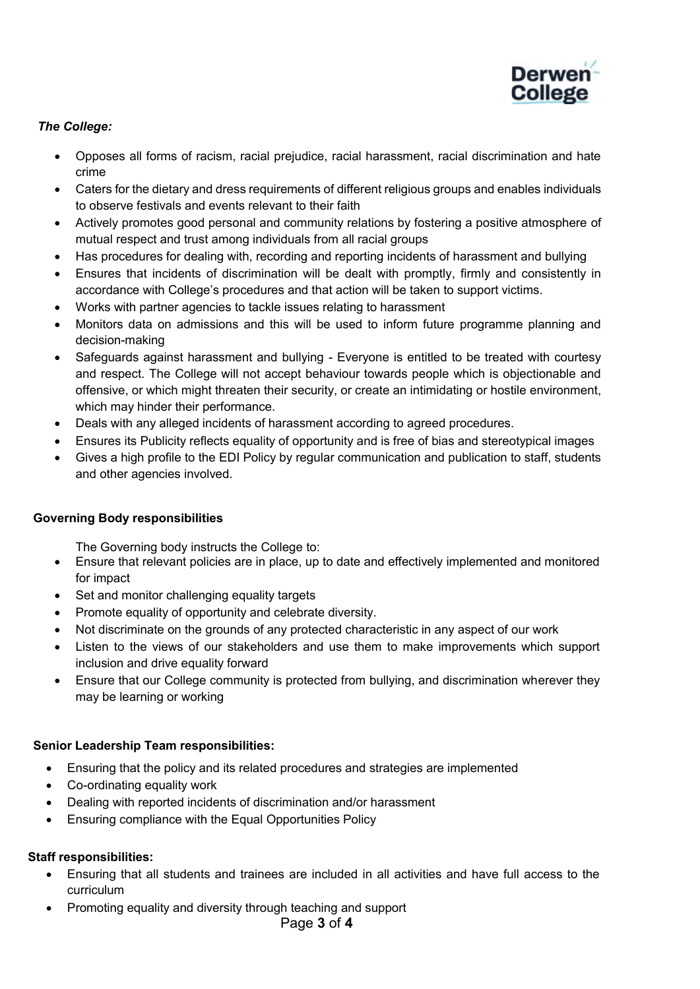

## *The College:*

- Opposes all forms of racism, racial prejudice, racial harassment, racial discrimination and hate crime
- Caters for the dietary and dress requirements of different religious groups and enables individuals to observe festivals and events relevant to their faith
- Actively promotes good personal and community relations by fostering a positive atmosphere of mutual respect and trust among individuals from all racial groups
- Has procedures for dealing with, recording and reporting incidents of harassment and bullying
- Ensures that incidents of discrimination will be dealt with promptly, firmly and consistently in accordance with College's procedures and that action will be taken to support victims.
- Works with partner agencies to tackle issues relating to harassment
- Monitors data on admissions and this will be used to inform future programme planning and decision-making
- Safeguards against harassment and bullying Everyone is entitled to be treated with courtesy and respect. The College will not accept behaviour towards people which is objectionable and offensive, or which might threaten their security, or create an intimidating or hostile environment, which may hinder their performance.
- Deals with any alleged incidents of harassment according to agreed procedures.
- Ensures its Publicity reflects equality of opportunity and is free of bias and stereotypical images
- Gives a high profile to the EDI Policy by regular communication and publication to staff, students and other agencies involved.

### **Governing Body responsibilities**

The Governing body instructs the College to:

- Ensure that relevant policies are in place, up to date and effectively implemented and monitored for impact
- Set and monitor challenging equality targets
- Promote equality of opportunity and celebrate diversity.
- Not discriminate on the grounds of any protected characteristic in any aspect of our work
- Listen to the views of our stakeholders and use them to make improvements which support inclusion and drive equality forward
- Ensure that our College community is protected from bullying, and discrimination wherever they may be learning or working

### **Senior Leadership Team responsibilities:**

- Ensuring that the policy and its related procedures and strategies are implemented
- Co-ordinating equality work
- Dealing with reported incidents of discrimination and/or harassment
- Ensuring compliance with the Equal Opportunities Policy

### **Staff responsibilities:**

- Ensuring that all students and trainees are included in all activities and have full access to the curriculum
- Promoting equality and diversity through teaching and support